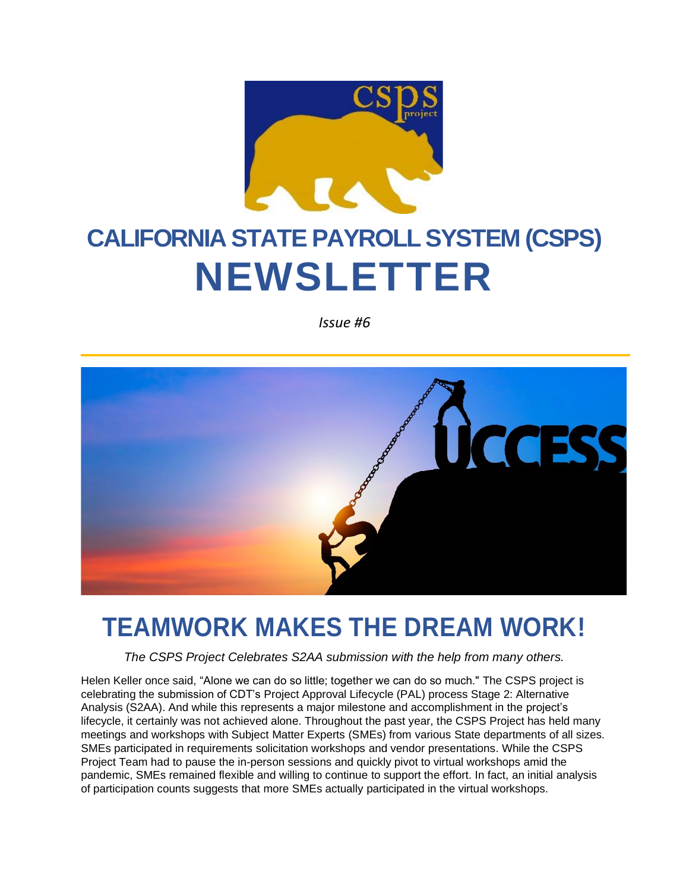

# **CALIFORNIA STATE PAYROLL SYSTEM (CSPS) NEWSLETTER**

*Issue #6*



### **TEAMWORK MAKES THE DREAM WORK!**

*The CSPS Project Celebrates S2AA submission with the help from many others.*

Helen Keller once said, "Alone we can do so little; together we can do so much." The CSPS project is celebrating the submission of CDT's Project Approval Lifecycle (PAL) process Stage 2: Alternative Analysis (S2AA). And while this represents a major milestone and accomplishment in the project's lifecycle, it certainly was not achieved alone. Throughout the past year, the CSPS Project has held many meetings and workshops with Subject Matter Experts (SMEs) from various State departments of all sizes. SMEs participated in requirements solicitation workshops and vendor presentations. While the CSPS Project Team had to pause the in-person sessions and quickly pivot to virtual workshops amid the pandemic, SMEs remained flexible and willing to continue to support the effort. In fact, an initial analysis of participation counts suggests that more SMEs actually participated in the virtual workshops.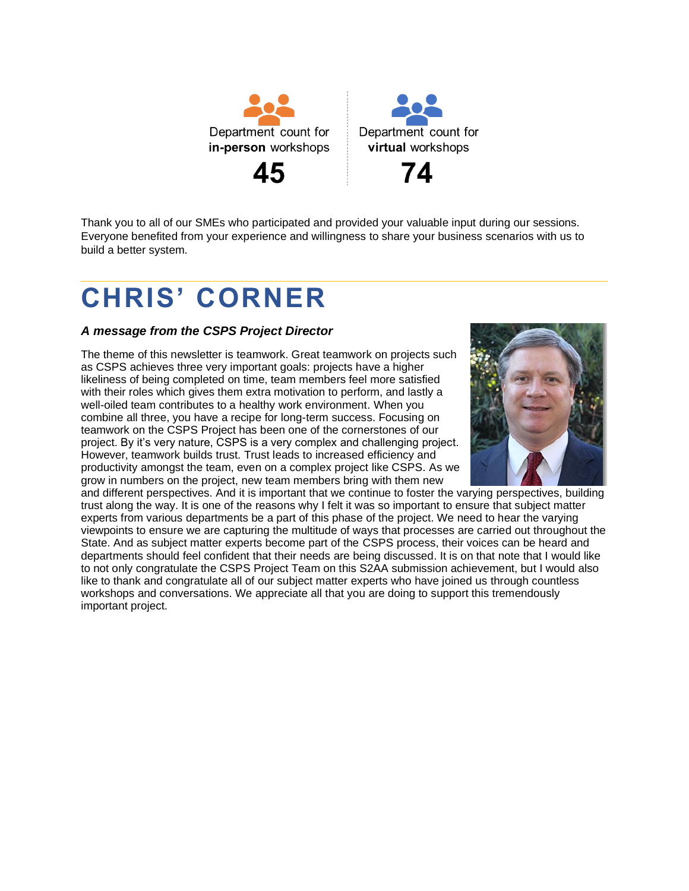



Thank you to all of our SMEs who participated and provided your valuable input during our sessions. Everyone benefited from your experience and willingness to share your business scenarios with us to build a better system.

## **CHRIS' CORNER**

#### *A message from the CSPS Project Director*

The theme of this newsletter is teamwork. Great teamwork on projects such as CSPS achieves three very important goals: projects have a higher likeliness of being completed on time, team members feel more satisfied with their roles which gives them extra motivation to perform, and lastly a well-oiled team contributes to a healthy work environment. When you combine all three, you have a recipe for long-term success. Focusing on teamwork on the CSPS Project has been one of the cornerstones of our project. By it's very nature, CSPS is a very complex and challenging project. However, teamwork builds trust. Trust leads to increased efficiency and productivity amongst the team, even on a complex project like CSPS. As we grow in numbers on the project, new team members bring with them new



and different perspectives. And it is important that we continue to foster the varying perspectives, building trust along the way. It is one of the reasons why I felt it was so important to ensure that subject matter experts from various departments be a part of this phase of the project. We need to hear the varying viewpoints to ensure we are capturing the multitude of ways that processes are carried out throughout the State. And as subject matter experts become part of the CSPS process, their voices can be heard and departments should feel confident that their needs are being discussed. It is on that note that I would like to not only congratulate the CSPS Project Team on this S2AA submission achievement, but I would also like to thank and congratulate all of our subject matter experts who have joined us through countless workshops and conversations. We appreciate all that you are doing to support this tremendously important project.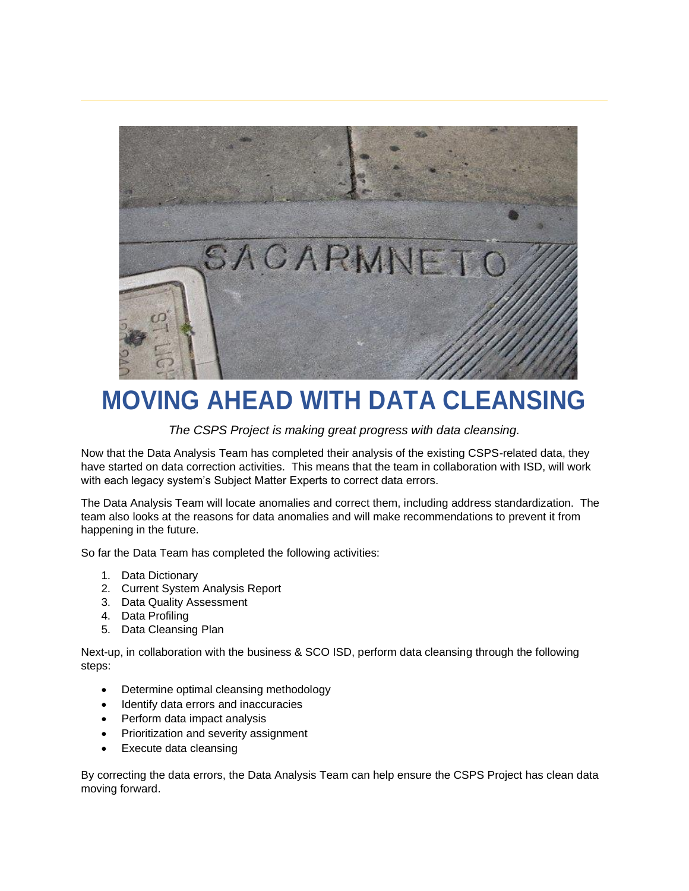

## **MOVING AHEAD WITH DATA CLEANSING**

*The CSPS Project is making great progress with data cleansing.*

Now that the Data Analysis Team has completed their analysis of the existing CSPS-related data, they have started on data correction activities. This means that the team in collaboration with ISD, will work with each legacy system's Subject Matter Experts to correct data errors.

The Data Analysis Team will locate anomalies and correct them, including address standardization. The team also looks at the reasons for data anomalies and will make recommendations to prevent it from happening in the future.

So far the Data Team has completed the following activities:

- 1. Data Dictionary
- 2. Current System Analysis Report
- 3. Data Quality Assessment
- 4. Data Profiling
- 5. Data Cleansing Plan

Next-up, in collaboration with the business & SCO ISD, perform data cleansing through the following steps:

- Determine optimal cleansing methodology
- Identify data errors and inaccuracies
- Perform data impact analysis
- Prioritization and severity assignment
- Execute data cleansing

By correcting the data errors, the Data Analysis Team can help ensure the CSPS Project has clean data moving forward.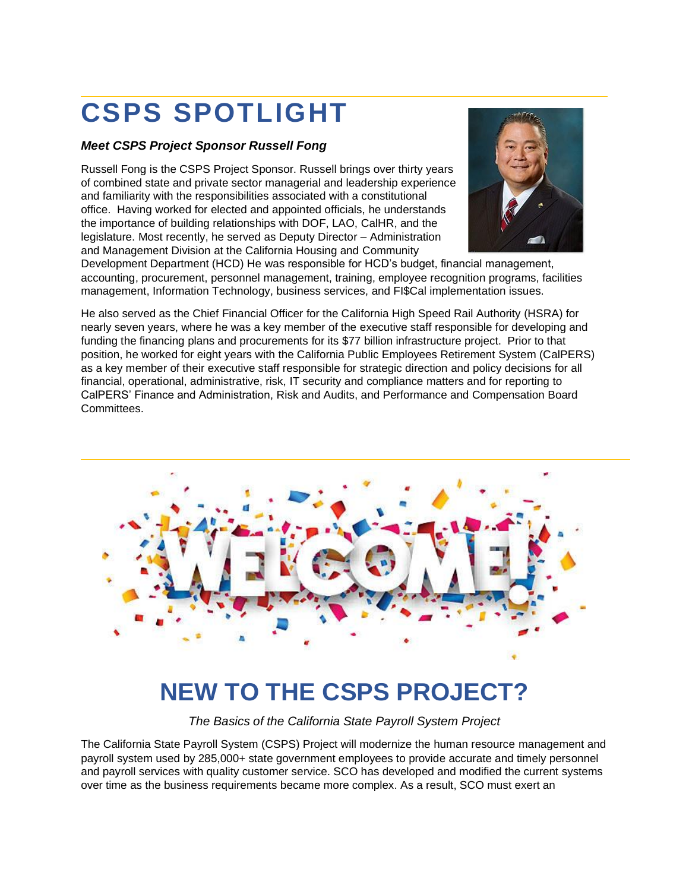## **CSPS SPOTLIGHT**

#### *Meet CSPS Project Sponsor Russell Fong*

Russell Fong is the CSPS Project Sponsor. Russell brings over thirty years of combined state and private sector managerial and leadership experience and familiarity with the responsibilities associated with a constitutional office. Having worked for elected and appointed officials, he understands the importance of building relationships with DOF, LAO, CalHR, and the legislature. Most recently, he served as Deputy Director – Administration and Management Division at the California Housing and Community



Development Department (HCD) He was responsible for HCD's budget, financial management, accounting, procurement, personnel management, training, employee recognition programs, facilities management, Information Technology, business services, and FI\$Cal implementation issues.

He also served as the Chief Financial Officer for the California High Speed Rail Authority (HSRA) for nearly seven years, where he was a key member of the executive staff responsible for developing and funding the financing plans and procurements for its \$77 billion infrastructure project. Prior to that position, he worked for eight years with the California Public Employees Retirement System (CalPERS) as a key member of their executive staff responsible for strategic direction and policy decisions for all financial, operational, administrative, risk, IT security and compliance matters and for reporting to CalPERS' Finance and Administration, Risk and Audits, and Performance and Compensation Board Committees.



#### **NEW TO THE CSPS PROJECT?**

*The Basics of the California State Payroll System Project*

The California State Payroll System (CSPS) Project will modernize the human resource management and payroll system used by 285,000+ state government employees to provide accurate and timely personnel and payroll services with quality customer service. SCO has developed and modified the current systems over time as the business requirements became more complex. As a result, SCO must exert an